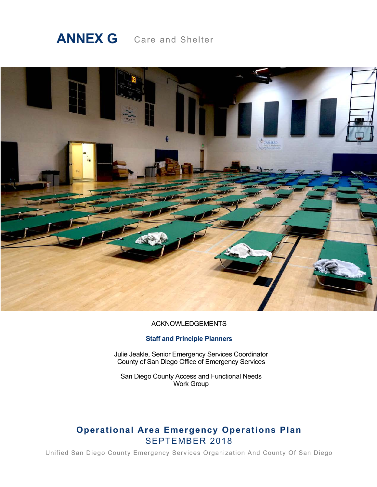# **ANNEX G** Care and Shelter



#### ACKNOWLEDGEMENTS

#### **Staff and Principle Planners**

Julie Jeakle, Senior Emergency Services Coordinator County of San Diego Office of Emergency Services

San Diego County Access and Functional Needs Work Group

# **Operational Area Emergency Operations Plan** SEPTEMBER 2018

Unified San Diego County Emergency Services Organization And County Of San Diego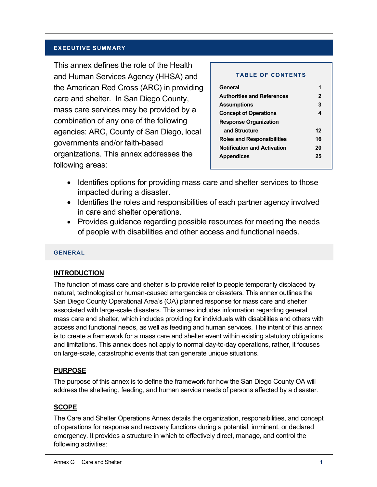#### **EXECUTIVE SUMMARY**

This annex defines the role of the Health and Human Services Agency (HHSA) and the American Red Cross (ARC) in providing care and shelter. In San Diego County, mass care services may be provided by a combination of any one of the following agencies: ARC, County of San Diego, local governments and/or faith-based organizations. This annex addresses the following areas:

#### **TABLE OF CONTENTS**

| General                            |    |  |
|------------------------------------|----|--|
| <b>Authorities and References</b>  | 2  |  |
| <b>Assumptions</b>                 | 3  |  |
| <b>Concept of Operations</b>       | 4  |  |
| <b>Response Organization</b>       |    |  |
| and Structure                      | 12 |  |
| <b>Roles and Responsibilities</b>  | 16 |  |
| <b>Notification and Activation</b> | 20 |  |
| 25<br><b>Appendices</b>            |    |  |
|                                    |    |  |

- Identifies options for providing mass care and shelter services to those impacted during a disaster.
- Identifies the roles and responsibilities of each partner agency involved in care and shelter operations.
- Provides guidance regarding possible resources for meeting the needs of people with disabilities and other access and functional needs.

#### **GENERAL**

#### **INTRODUCTION**

The function of mass care and shelter is to provide relief to people temporarily displaced by natural, technological or human-caused emergencies or disasters. This annex outlines the San Diego County Operational Area's (OA) planned response for mass care and shelter associated with large-scale disasters. This annex includes information regarding general mass care and shelter, which includes providing for individuals with disabilities and others with access and functional needs, as well as feeding and human services. The intent of this annex is to create a framework for a mass care and shelter event within existing statutory obligations and limitations. This annex does not apply to normal day-to-day operations, rather, it focuses on large-scale, catastrophic events that can generate unique situations.

#### **PURPOSE**

The purpose of this annex is to define the framework for how the San Diego County OA will address the sheltering, feeding, and human service needs of persons affected by a disaster.

#### **SCOPE**

The Care and Shelter Operations Annex details the organization, responsibilities, and concept of operations for response and recovery functions during a potential, imminent, or declared emergency. It provides a structure in which to effectively direct, manage, and control the following activities: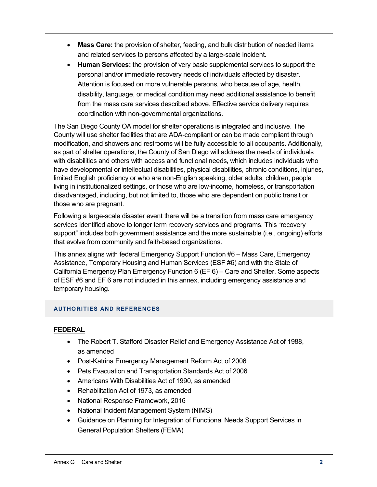- **Mass Care:** the provision of shelter, feeding, and bulk distribution of needed items and related services to persons affected by a large-scale incident.
- **Human Services:** the provision of very basic supplemental services to support the personal and/or immediate recovery needs of individuals affected by disaster. Attention is focused on more vulnerable persons, who because of age, health, disability, language, or medical condition may need additional assistance to benefit from the mass care services described above. Effective service delivery requires coordination with non-governmental organizations.

The San Diego County OA model for shelter operations is integrated and inclusive. The County will use shelter facilities that are ADA-compliant or can be made compliant through modification, and showers and restrooms will be fully accessible to all occupants. Additionally, as part of shelter operations, the County of San Diego will address the needs of individuals with disabilities and others with access and functional needs, which includes individuals who have developmental or intellectual disabilities, physical disabilities, chronic conditions, injuries, limited English proficiency or who are non-English speaking, older adults, children, people living in institutionalized settings, or those who are low-income, homeless, or transportation disadvantaged, including, but not limited to, those who are dependent on public transit or those who are pregnant.

Following a large-scale disaster event there will be a transition from mass care emergency services identified above to longer term recovery services and programs. This "recovery support" includes both government assistance and the more sustainable (i.e., ongoing) efforts that evolve from community and faith-based organizations.

This annex aligns with federal Emergency Support Function #6 – Mass Care, Emergency Assistance, Temporary Housing and Human Services (ESF #6) and with the State of California Emergency Plan Emergency Function 6 (EF 6) – Care and Shelter. Some aspects of ESF #6 and EF 6 are not included in this annex, including emergency assistance and temporary housing.

# **AUTHORITIES AND REFERENCES**

# **FEDERAL**

- The Robert T. Stafford Disaster Relief and Emergency Assistance Act of 1988, as amended
- Post-Katrina Emergency Management Reform Act of 2006
- Pets Evacuation and Transportation Standards Act of 2006
- Americans With Disabilities Act of 1990, as amended
- Rehabilitation Act of 1973, as amended
- National Response Framework, 2016
- National Incident Management System (NIMS)
- Guidance on Planning for Integration of Functional Needs Support Services in General Population Shelters (FEMA)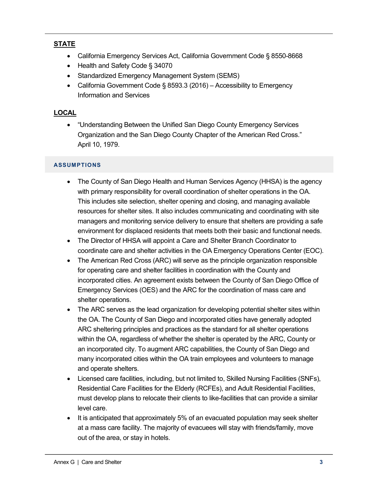# **STATE**

- California Emergency Services Act, California Government Code § 8550-8668
- Health and Safety Code § 34070
- Standardized Emergency Management System (SEMS)
- California Government Code § 8593.3 (2016) Accessibility to Emergency Information and Services

# **LOCAL**

• "Understanding Between the Unified San Diego County Emergency Services Organization and the San Diego County Chapter of the American Red Cross." April 10, 1979.

# **ASSUMPTIONS**

- The County of San Diego Health and Human Services Agency (HHSA) is the agency with primary responsibility for overall coordination of shelter operations in the OA. This includes site selection, shelter opening and closing, and managing available resources for shelter sites. It also includes communicating and coordinating with site managers and monitoring service delivery to ensure that shelters are providing a safe environment for displaced residents that meets both their basic and functional needs.
- The Director of HHSA will appoint a Care and Shelter Branch Coordinator to coordinate care and shelter activities in the OA Emergency Operations Center (EOC).
- The American Red Cross (ARC) will serve as the principle organization responsible for operating care and shelter facilities in coordination with the County and incorporated cities. An agreement exists between the County of San Diego Office of Emergency Services (OES) and the ARC for the coordination of mass care and shelter operations.
- The ARC serves as the lead organization for developing potential shelter sites within the OA. The County of San Diego and incorporated cities have generally adopted ARC sheltering principles and practices as the standard for all shelter operations within the OA, regardless of whether the shelter is operated by the ARC, County or an incorporated city. To augment ARC capabilities, the County of San Diego and many incorporated cities within the OA train employees and volunteers to manage and operate shelters.
- Licensed care facilities, including, but not limited to, Skilled Nursing Facilities (SNFs), Residential Care Facilities for the Elderly (RCFEs), and Adult Residential Facilities, must develop plans to relocate their clients to like-facilities that can provide a similar level care.
- It is anticipated that approximately 5% of an evacuated population may seek shelter at a mass care facility. The majority of evacuees will stay with friends/family, move out of the area, or stay in hotels.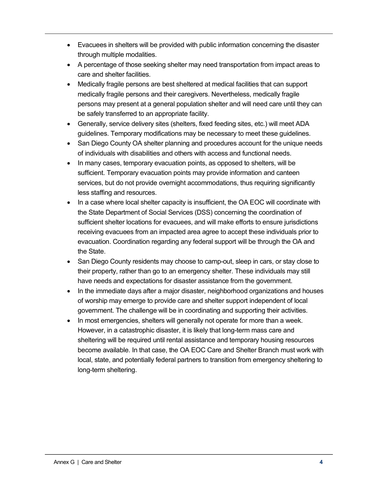- Evacuees in shelters will be provided with public information concerning the disaster through multiple modalities.
- A percentage of those seeking shelter may need transportation from impact areas to care and shelter facilities.
- Medically fragile persons are best sheltered at medical facilities that can support medically fragile persons and their caregivers. Nevertheless, medically fragile persons may present at a general population shelter and will need care until they can be safely transferred to an appropriate facility.
- Generally, service delivery sites (shelters, fixed feeding sites, etc.) will meet ADA guidelines. Temporary modifications may be necessary to meet these guidelines.
- San Diego County OA shelter planning and procedures account for the unique needs of individuals with disabilities and others with access and functional needs.
- In many cases, temporary evacuation points, as opposed to shelters, will be sufficient. Temporary evacuation points may provide information and canteen services, but do not provide overnight accommodations, thus requiring significantly less staffing and resources.
- In a case where local shelter capacity is insufficient, the OA EOC will coordinate with the State Department of Social Services (DSS) concerning the coordination of sufficient shelter locations for evacuees, and will make efforts to ensure jurisdictions receiving evacuees from an impacted area agree to accept these individuals prior to evacuation. Coordination regarding any federal support will be through the OA and the State.
- San Diego County residents may choose to camp-out, sleep in cars, or stay close to their property, rather than go to an emergency shelter. These individuals may still have needs and expectations for disaster assistance from the government.
- In the immediate days after a major disaster, neighborhood organizations and houses of worship may emerge to provide care and shelter support independent of local government. The challenge will be in coordinating and supporting their activities.
- In most emergencies, shelters will generally not operate for more than a week. However, in a catastrophic disaster, it is likely that long-term mass care and sheltering will be required until rental assistance and temporary housing resources become available. In that case, the OA EOC Care and Shelter Branch must work with local, state, and potentially federal partners to transition from emergency sheltering to long-term sheltering.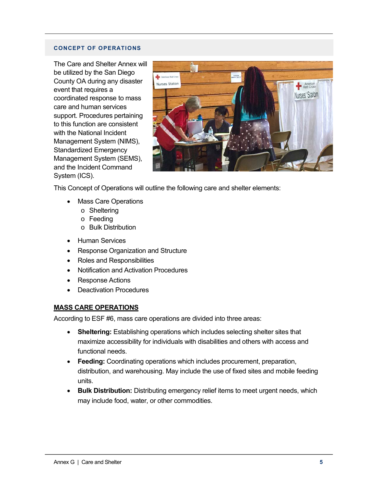#### **CONCEPT OF OPERATIONS**

The Care and Shelter Annex will be utilized by the San Diego County OA during any disaster event that requires a coordinated response to mass care and human services support. Procedures pertaining to this function are consistent with the National Incident Management System (NIMS), Standardized Emergency Management System (SEMS), and the Incident Command System (ICS).



This Concept of Operations will outline the following care and shelter elements:

- Mass Care Operations
	- o Sheltering
	- o Feeding
	- o Bulk Distribution
- Human Services
- Response Organization and Structure
- Roles and Responsibilities
- Notification and Activation Procedures
- Response Actions
- Deactivation Procedures

#### **MASS CARE OPERATIONS**

According to ESF #6, mass care operations are divided into three areas:

- **Sheltering:** Establishing operations which includes selecting shelter sites that maximize accessibility for individuals with disabilities and others with access and functional needs.
- **Feeding:** Coordinating operations which includes procurement, preparation, distribution, and warehousing. May include the use of fixed sites and mobile feeding units.
- **Bulk Distribution:** Distributing emergency relief items to meet urgent needs, which may include food, water, or other commodities.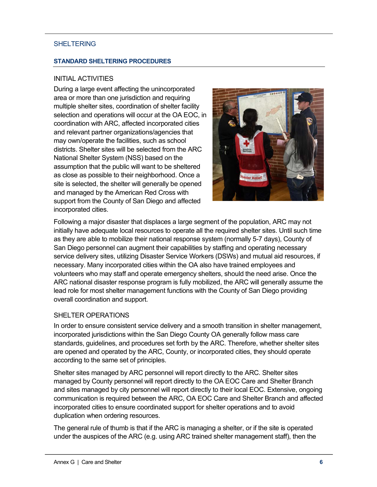## **SHELTERING**

#### **STANDARD SHELTERING PROCEDURES**

## INITIAL ACTIVITIES

During a large event affecting the unincorporated area or more than one jurisdiction and requiring multiple shelter sites, coordination of shelter facility selection and operations will occur at the OA EOC, in coordination with ARC, affected incorporated cities and relevant partner organizations/agencies that may own/operate the facilities, such as school districts. Shelter sites will be selected from the ARC National Shelter System (NSS) based on the assumption that the public will want to be sheltered as close as possible to their neighborhood. Once a site is selected, the shelter will generally be opened and managed by the American Red Cross with support from the County of San Diego and affected incorporated cities.



Following a major disaster that displaces a large segment of the population, ARC may not initially have adequate local resources to operate all the required shelter sites. Until such time as they are able to mobilize their national response system (normally 5-7 days), County of San Diego personnel can augment their capabilities by staffing and operating necessary service delivery sites, utilizing Disaster Service Workers (DSWs) and mutual aid resources, if necessary. Many incorporated cities within the OA also have trained employees and volunteers who may staff and operate emergency shelters, should the need arise. Once the ARC national disaster response program is fully mobilized, the ARC will generally assume the lead role for most shelter management functions with the County of San Diego providing overall coordination and support.

#### SHELTER OPERATIONS

In order to ensure consistent service delivery and a smooth transition in shelter management, incorporated jurisdictions within the San Diego County OA generally follow mass care standards, guidelines, and procedures set forth by the ARC. Therefore, whether shelter sites are opened and operated by the ARC, County, or incorporated cities, they should operate according to the same set of principles.

Shelter sites managed by ARC personnel will report directly to the ARC. Shelter sites managed by County personnel will report directly to the OA EOC Care and Shelter Branch and sites managed by city personnel will report directly to their local EOC. Extensive, ongoing communication is required between the ARC, OA EOC Care and Shelter Branch and affected incorporated cities to ensure coordinated support for shelter operations and to avoid duplication when ordering resources.

The general rule of thumb is that if the ARC is managing a shelter, or if the site is operated under the auspices of the ARC (e.g. using ARC trained shelter management staff), then the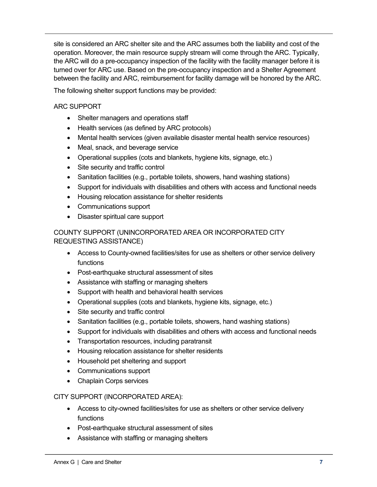site is considered an ARC shelter site and the ARC assumes both the liability and cost of the operation. Moreover, the main resource supply stream will come through the ARC. Typically, the ARC will do a pre-occupancy inspection of the facility with the facility manager before it is turned over for ARC use. Based on the pre-occupancy inspection and a Shelter Agreement between the facility and ARC, reimbursement for facility damage will be honored by the ARC.

The following shelter support functions may be provided:

ARC SUPPORT

- Shelter managers and operations staff
- Health services (as defined by ARC protocols)
- Mental health services (given available disaster mental health service resources)
- Meal, snack, and beverage service
- Operational supplies (cots and blankets, hygiene kits, signage, etc.)
- Site security and traffic control
- Sanitation facilities (e.g., portable toilets, showers, hand washing stations)
- Support for individuals with disabilities and others with access and functional needs
- Housing relocation assistance for shelter residents
- Communications support
- Disaster spiritual care support

## COUNTY SUPPORT (UNINCORPORATED AREA OR INCORPORATED CITY REQUESTING ASSISTANCE)

- Access to County-owned facilities/sites for use as shelters or other service delivery functions
- Post-earthquake structural assessment of sites
- Assistance with staffing or managing shelters
- Support with health and behavioral health services
- Operational supplies (cots and blankets, hygiene kits, signage, etc.)
- Site security and traffic control
- Sanitation facilities (e.g., portable toilets, showers, hand washing stations)
- Support for individuals with disabilities and others with access and functional needs
- Transportation resources, including paratransit
- Housing relocation assistance for shelter residents
- Household pet sheltering and support
- Communications support
- Chaplain Corps services

#### CITY SUPPORT (INCORPORATED AREA):

- Access to city-owned facilities/sites for use as shelters or other service delivery functions
- Post-earthquake structural assessment of sites
- Assistance with staffing or managing shelters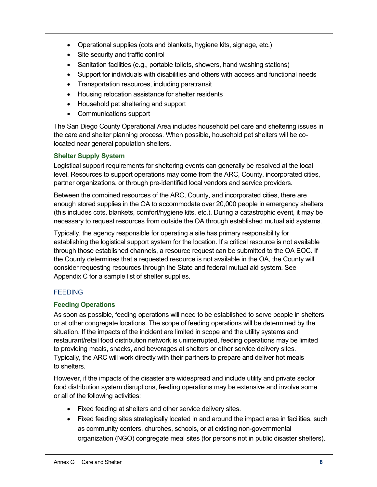- Operational supplies (cots and blankets, hygiene kits, signage, etc.)
- Site security and traffic control
- Sanitation facilities (e.g., portable toilets, showers, hand washing stations)
- Support for individuals with disabilities and others with access and functional needs
- Transportation resources, including paratransit
- Housing relocation assistance for shelter residents
- Household pet sheltering and support
- Communications support

The San Diego County Operational Area includes household pet care and sheltering issues in the care and shelter planning process. When possible, household pet shelters will be colocated near general population shelters.

#### **Shelter Supply System**

Logistical support requirements for sheltering events can generally be resolved at the local level. Resources to support operations may come from the ARC, County, incorporated cities, partner organizations, or through pre-identified local vendors and service providers.

Between the combined resources of the ARC, County, and incorporated cities, there are enough stored supplies in the OA to accommodate over 20,000 people in emergency shelters (this includes cots, blankets, comfort/hygiene kits, etc.). During a catastrophic event, it may be necessary to request resources from outside the OA through established mutual aid systems.

Typically, the agency responsible for operating a site has primary responsibility for establishing the logistical support system for the location. If a critical resource is not available through those established channels, a resource request can be submitted to the OA EOC. If the County determines that a requested resource is not available in the OA, the County will consider requesting resources through the State and federal mutual aid system. See Appendix C for a sample list of shelter supplies.

# **FEEDING**

#### **Feeding Operations**

As soon as possible, feeding operations will need to be established to serve people in shelters or at other congregate locations. The scope of feeding operations will be determined by the situation. If the impacts of the incident are limited in scope and the utility systems and restaurant/retail food distribution network is uninterrupted, feeding operations may be limited to providing meals, snacks, and beverages at shelters or other service delivery sites. Typically, the ARC will work directly with their partners to prepare and deliver hot meals to shelters.

However, if the impacts of the disaster are widespread and include utility and private sector food distribution system disruptions, feeding operations may be extensive and involve some or all of the following activities:

- Fixed feeding at shelters and other service delivery sites.
- Fixed feeding sites strategically located in and around the impact area in facilities, such as community centers, churches, schools, or at existing non-governmental organization (NGO) congregate meal sites (for persons not in public disaster shelters).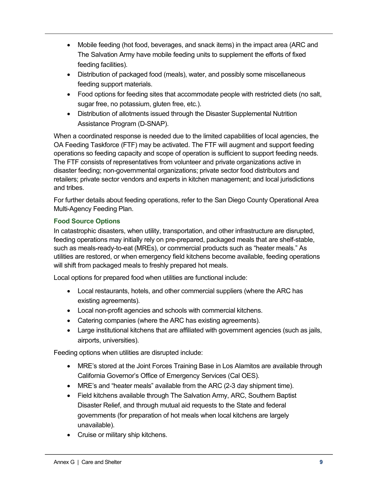- Mobile feeding (hot food, beverages, and snack items) in the impact area (ARC and The Salvation Army have mobile feeding units to supplement the efforts of fixed feeding facilities).
- Distribution of packaged food (meals), water, and possibly some miscellaneous feeding support materials.
- Food options for feeding sites that accommodate people with restricted diets (no salt, sugar free, no potassium, gluten free, etc.).
- Distribution of allotments issued through the Disaster Supplemental Nutrition Assistance Program (D-SNAP).

When a coordinated response is needed due to the limited capabilities of local agencies, the OA Feeding Taskforce (FTF) may be activated. The FTF will augment and support feeding operations so feeding capacity and scope of operation is sufficient to support feeding needs. The FTF consists of representatives from volunteer and private organizations active in disaster feeding; non-governmental organizations; private sector food distributors and retailers; private sector vendors and experts in kitchen management; and local jurisdictions and tribes.

For further details about feeding operations, refer to the San Diego County Operational Area Multi-Agency Feeding Plan.

# **Food Source Options**

In catastrophic disasters, when utility, transportation, and other infrastructure are disrupted, feeding operations may initially rely on pre-prepared, packaged meals that are shelf-stable, such as meals-ready-to-eat (MREs), or commercial products such as "heater meals." As utilities are restored, or when emergency field kitchens become available, feeding operations will shift from packaged meals to freshly prepared hot meals.

Local options for prepared food when utilities are functional include:

- Local restaurants, hotels, and other commercial suppliers (where the ARC has existing agreements).
- Local non-profit agencies and schools with commercial kitchens.
- Catering companies (where the ARC has existing agreements).
- Large institutional kitchens that are affiliated with government agencies (such as jails, airports, universities).

Feeding options when utilities are disrupted include:

- MRE's stored at the Joint Forces Training Base in Los Alamitos are available through California Governor's Office of Emergency Services (Cal OES).
- MRE's and "heater meals" available from the ARC (2-3 day shipment time).
- Field kitchens available through The Salvation Army, ARC, Southern Baptist Disaster Relief, and through mutual aid requests to the State and federal governments (for preparation of hot meals when local kitchens are largely unavailable).
- Cruise or military ship kitchens.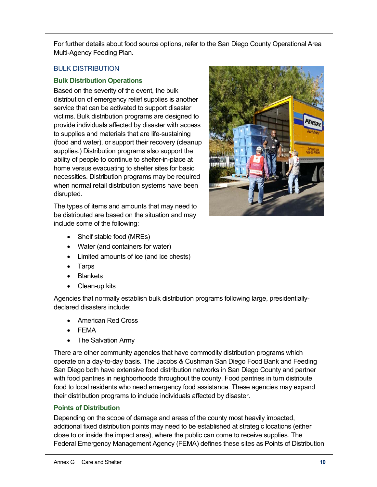For further details about food source options, refer to the San Diego County Operational Area Multi-Agency Feeding Plan.

# BULK DISTRIBUTION

# **Bulk Distribution Operations**

Based on the severity of the event, the bulk distribution of emergency relief supplies is another service that can be activated to support disaster victims. Bulk distribution programs are designed to provide individuals affected by disaster with access to supplies and materials that are life-sustaining (food and water), or support their recovery (cleanup supplies.) Distribution programs also support the ability of people to continue to shelter-in-place at home versus evacuating to shelter sites for basic necessities. Distribution programs may be required when normal retail distribution systems have been disrupted.

The types of items and amounts that may need to be distributed are based on the situation and may include some of the following:



- Shelf stable food (MREs)
- Water (and containers for water)
- Limited amounts of ice (and ice chests)
- Tarps
- Blankets
- Clean-up kits

Agencies that normally establish bulk distribution programs following large, presidentiallydeclared disasters include:

- American Red Cross
- FEMA
- The Salvation Army

There are other community agencies that have commodity distribution programs which operate on a day-to-day basis. The Jacobs & Cushman San Diego Food Bank and Feeding San Diego both have extensive food distribution networks in San Diego County and partner with food pantries in neighborhoods throughout the county. Food pantries in turn distribute food to local residents who need emergency food assistance. These agencies may expand their distribution programs to include individuals affected by disaster.

# **Points of Distribution**

Depending on the scope of damage and areas of the county most heavily impacted, additional fixed distribution points may need to be established at strategic locations (either close to or inside the impact area), where the public can come to receive supplies. The Federal Emergency Management Agency (FEMA) defines these sites as Points of Distribution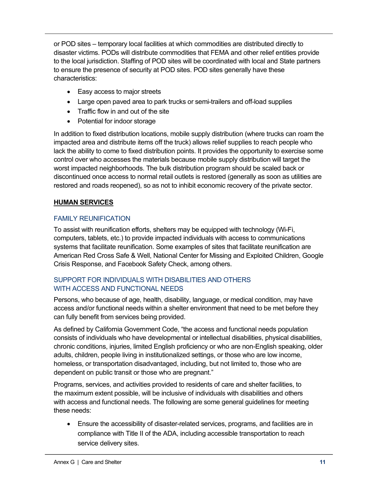or POD sites – temporary local facilities at which commodities are distributed directly to disaster victims. PODs will distribute commodities that FEMA and other relief entities provide to the local jurisdiction. Staffing of POD sites will be coordinated with local and State partners to ensure the presence of security at POD sites. POD sites generally have these characteristics:

- Easy access to major streets
- Large open paved area to park trucks or semi-trailers and off-load supplies
- Traffic flow in and out of the site
- Potential for indoor storage

In addition to fixed distribution locations, mobile supply distribution (where trucks can roam the impacted area and distribute items off the truck) allows relief supplies to reach people who lack the ability to come to fixed distribution points. It provides the opportunity to exercise some control over who accesses the materials because mobile supply distribution will target the worst impacted neighborhoods. The bulk distribution program should be scaled back or discontinued once access to normal retail outlets is restored (generally as soon as utilities are restored and roads reopened), so as not to inhibit economic recovery of the private sector.

# **HUMAN SERVICES**

# FAMILY REUNIFICATION

To assist with reunification efforts, shelters may be equipped with technology (Wi-Fi, computers, tablets, etc.) to provide impacted individuals with access to communications systems that facilitate reunification. Some examples of sites that facilitate reunification are American Red Cross Safe & Well, National Center for Missing and Exploited Children, Google Crisis Response, and Facebook Safety Check, among others.

# SUPPORT FOR INDIVIDUALS WITH DISABILITIES AND OTHERS WITH ACCESS AND FUNCTIONAL NEEDS

Persons, who because of age, health, disability, language, or medical condition, may have access and/or functional needs within a shelter environment that need to be met before they can fully benefit from services being provided.

As defined by California Government Code, "the access and functional needs population consists of individuals who have developmental or intellectual disabilities, physical disabilities, chronic conditions, injuries, limited English proficiency or who are non-English speaking, older adults, children, people living in institutionalized settings, or those who are low income, homeless, or transportation disadvantaged, including, but not limited to, those who are dependent on public transit or those who are pregnant."

Programs, services, and activities provided to residents of care and shelter facilities, to the maximum extent possible, will be inclusive of individuals with disabilities and others with access and functional needs. The following are some general guidelines for meeting these needs:

• Ensure the accessibility of disaster-related services, programs, and facilities are in compliance with Title II of the ADA, including accessible transportation to reach service delivery sites.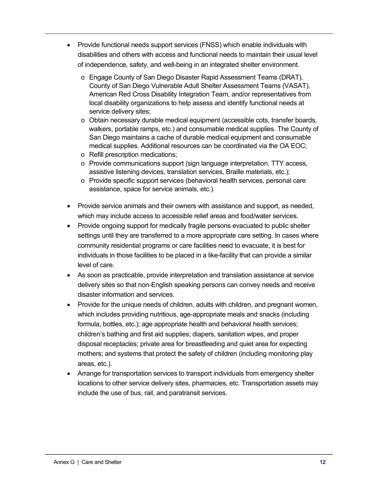- Provide functional needs support services (FNSS) which enable individuals with disabilities and others with access and functional needs to maintain their usual level of independence, safety, and well-being in an integrated shelter environment.
	- o Engage County of San Diego Disaster Rapid Assessment Teams (DRAT), County of San Diego Vulnerable Adult Shelter Assessment Teams (VASAT), American Red Cross Disability Integration Team, and/or representatives from local disability organizations to help assess and identify functional needs at service delivery sites;
	- o Obtain necessary durable medical equipment (accessible cots, transfer boards, walkers, portable ramps, etc.) and consumable medical supplies. The County of San Diego maintains a cache of durable medical equipment and consumable medical supplies. Additional resources can be coordinated via the OA EOC;
	- o Refill prescription medications;
	- o Provide communications support (sign language interpretation, TTY access, assistive listening devices, translation services, Braille materials, etc.);
	- o Provide specific support services (behavioral health services, personal care assistance, space for service animals, etc.).
- Provide service animals and their owners with assistance and support, as needed, which may include access to accessible relief areas and food/water services.
- Provide ongoing support for medically fragile persons evacuated to public shelter settings until they are transferred to a more appropriate care setting. In cases where community residential programs or care facilities need to evacuate, it is best for individuals in those facilities to be placed in a like-facility that can provide a similar level of care.
- As soon as practicable, provide interpretation and translation assistance at service delivery sites so that non-English speaking persons can convey needs and receive disaster information and services.
- Provide for the unique needs of children, adults with children, and pregnant women, which includes providing nutritious, age-appropriate meals and snacks (including formula, bottles, etc.); age appropriate health and behavioral health services; children's bathing and first aid supplies; diapers, sanitation wipes, and proper disposal receptacles; private area for breastfeeding and quiet area for expecting mothers; and systems that protect the safety of children (including monitoring play areas, etc.).
- Arrange for transportation services to transport individuals from emergency shelter locations to other service delivery sites, pharmacies, etc. Transportation assets may include the use of bus, rail, and paratransit services.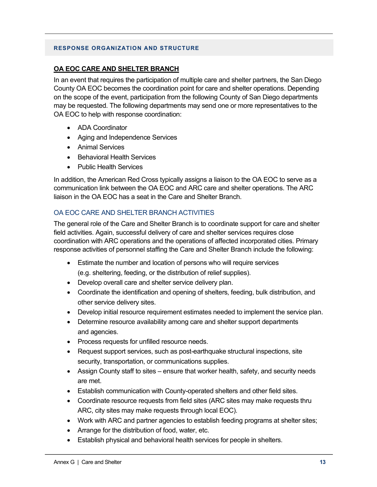#### **RESPONSE ORGANIZATION AND STRUCTURE**

## **OA EOC CARE AND SHELTER BRANCH**

In an event that requires the participation of multiple care and shelter partners, the San Diego County OA EOC becomes the coordination point for care and shelter operations. Depending on the scope of the event, participation from the following County of San Diego departments may be requested. The following departments may send one or more representatives to the OA EOC to help with response coordination:

- ADA Coordinator
- Aging and Independence Services
- Animal Services
- Behavioral Health Services
- Public Health Services

In addition, the American Red Cross typically assigns a liaison to the OA EOC to serve as a communication link between the OA EOC and ARC care and shelter operations. The ARC liaison in the OA EOC has a seat in the Care and Shelter Branch.

# OA EOC CARE AND SHELTER BRANCH ACTIVITIES

The general role of the Care and Shelter Branch is to coordinate support for care and shelter field activities. Again, successful delivery of care and shelter services requires close coordination with ARC operations and the operations of affected incorporated cities. Primary response activities of personnel staffing the Care and Shelter Branch include the following:

- Estimate the number and location of persons who will require services (e.g. sheltering, feeding, or the distribution of relief supplies).
- Develop overall care and shelter service delivery plan.
- Coordinate the identification and opening of shelters, feeding, bulk distribution, and other service delivery sites.
- Develop initial resource requirement estimates needed to implement the service plan.
- Determine resource availability among care and shelter support departments and agencies.
- Process requests for unfilled resource needs.
- Request support services, such as post-earthquake structural inspections, site security, transportation, or communications supplies.
- Assign County staff to sites ensure that worker health, safety, and security needs are met.
- Establish communication with County-operated shelters and other field sites.
- Coordinate resource requests from field sites (ARC sites may make requests thru ARC, city sites may make requests through local EOC).
- Work with ARC and partner agencies to establish feeding programs at shelter sites;
- Arrange for the distribution of food, water, etc.
- Establish physical and behavioral health services for people in shelters.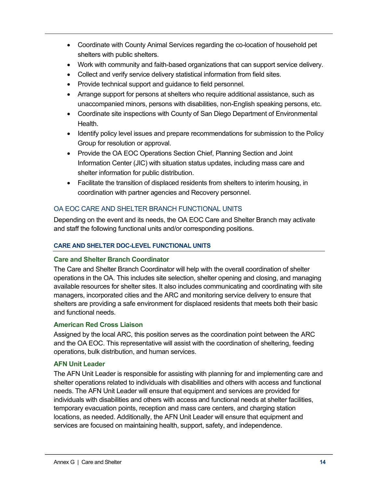- Coordinate with County Animal Services regarding the co-location of household pet shelters with public shelters.
- Work with community and faith-based organizations that can support service delivery.
- Collect and verify service delivery statistical information from field sites.
- Provide technical support and guidance to field personnel.
- Arrange support for persons at shelters who require additional assistance, such as unaccompanied minors, persons with disabilities, non-English speaking persons, etc.
- Coordinate site inspections with County of San Diego Department of Environmental **Health**
- Identify policy level issues and prepare recommendations for submission to the Policy Group for resolution or approval.
- Provide the OA EOC Operations Section Chief, Planning Section and Joint Information Center (JIC) with situation status updates, including mass care and shelter information for public distribution.
- Facilitate the transition of displaced residents from shelters to interim housing, in coordination with partner agencies and Recovery personnel.

# OA EOC CARE AND SHELTER BRANCH FUNCTIONAL UNITS

Depending on the event and its needs, the OA EOC Care and Shelter Branch may activate and staff the following functional units and/or corresponding positions.

#### **CARE AND SHELTER DOC-LEVEL FUNCTIONAL UNITS**

#### **Care and Shelter Branch Coordinator**

The Care and Shelter Branch Coordinator will help with the overall coordination of shelter operations in the OA. This includes site selection, shelter opening and closing, and managing available resources for shelter sites. It also includes communicating and coordinating with site managers, incorporated cities and the ARC and monitoring service delivery to ensure that shelters are providing a safe environment for displaced residents that meets both their basic and functional needs.

#### **American Red Cross Liaison**

Assigned by the local ARC, this position serves as the coordination point between the ARC and the OA EOC. This representative will assist with the coordination of sheltering, feeding operations, bulk distribution, and human services.

#### **AFN Unit Leader**

The AFN Unit Leader is responsible for assisting with planning for and implementing care and shelter operations related to individuals with disabilities and others with access and functional needs. The AFN Unit Leader will ensure that equipment and services are provided for individuals with disabilities and others with access and functional needs at shelter facilities, temporary evacuation points, reception and mass care centers, and charging station locations, as needed. Additionally, the AFN Unit Leader will ensure that equipment and services are focused on maintaining health, support, safety, and independence.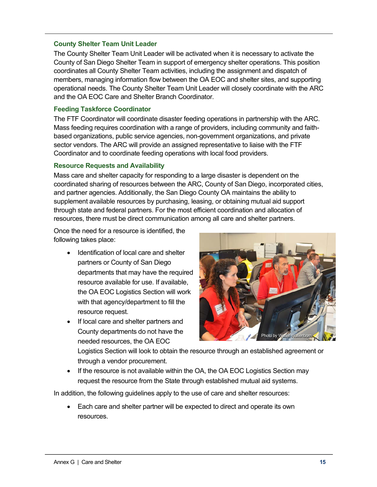#### **County Shelter Team Unit Leader**

The County Shelter Team Unit Leader will be activated when it is necessary to activate the County of San Diego Shelter Team in support of emergency shelter operations. This position coordinates all County Shelter Team activities, including the assignment and dispatch of members, managing information flow between the OA EOC and shelter sites, and supporting operational needs. The County Shelter Team Unit Leader will closely coordinate with the ARC and the OA EOC Care and Shelter Branch Coordinator.

#### **Feeding Taskforce Coordinator**

The FTF Coordinator will coordinate disaster feeding operations in partnership with the ARC. Mass feeding requires coordination with a range of providers, including community and faithbased organizations, public service agencies, non-government organizations, and private sector vendors. The ARC will provide an assigned representative to liaise with the FTF Coordinator and to coordinate feeding operations with local food providers.

#### **Resource Requests and Availability**

Mass care and shelter capacity for responding to a large disaster is dependent on the coordinated sharing of resources between the ARC, County of San Diego, incorporated cities, and partner agencies. Additionally, the San Diego County OA maintains the ability to supplement available resources by purchasing, leasing, or obtaining mutual aid support through state and federal partners. For the most efficient coordination and allocation of resources, there must be direct communication among all care and shelter partners.

Once the need for a resource is identified, the following takes place:

- Identification of local care and shelter partners or County of San Diego departments that may have the required resource available for use. If available, the OA EOC Logistics Section will work with that agency/department to fill the resource request.
- If local care and shelter partners and County departments do not have the needed resources, the OA EOC



Logistics Section will look to obtain the resource through an established agreement or through a vendor procurement.

• If the resource is not available within the OA, the OA EOC Logistics Section may request the resource from the State through established mutual aid systems.

In addition, the following guidelines apply to the use of care and shelter resources:

• Each care and shelter partner will be expected to direct and operate its own resources.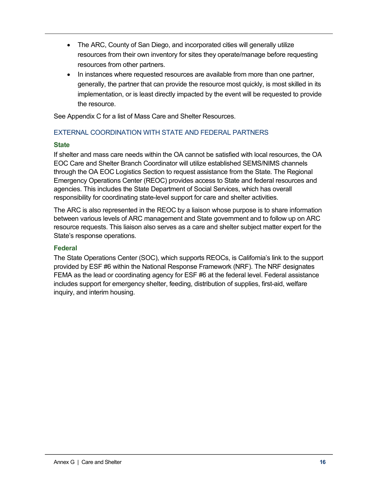- The ARC, County of San Diego, and incorporated cities will generally utilize resources from their own inventory for sites they operate/manage before requesting resources from other partners.
- In instances where requested resources are available from more than one partner, generally, the partner that can provide the resource most quickly, is most skilled in its implementation, or is least directly impacted by the event will be requested to provide the resource.

See Appendix C for a list of Mass Care and Shelter Resources.

## EXTERNAL COORDINATION WITH STATE AND FEDERAL PARTNERS

#### **State**

If shelter and mass care needs within the OA cannot be satisfied with local resources, the OA EOC Care and Shelter Branch Coordinator will utilize established SEMS/NIMS channels through the OA EOC Logistics Section to request assistance from the State. The Regional Emergency Operations Center (REOC) provides access to State and federal resources and agencies. This includes the State Department of Social Services, which has overall responsibility for coordinating state-level support for care and shelter activities.

The ARC is also represented in the REOC by a liaison whose purpose is to share information between various levels of ARC management and State government and to follow up on ARC resource requests. This liaison also serves as a care and shelter subject matter expert for the State's response operations.

#### **Federal**

The State Operations Center (SOC), which supports REOCs, is California's link to the support provided by ESF #6 within the National Response Framework (NRF). The NRF designates FEMA as the lead or coordinating agency for ESF #6 at the federal level. Federal assistance includes support for emergency shelter, feeding, distribution of supplies, first-aid, welfare inquiry, and interim housing.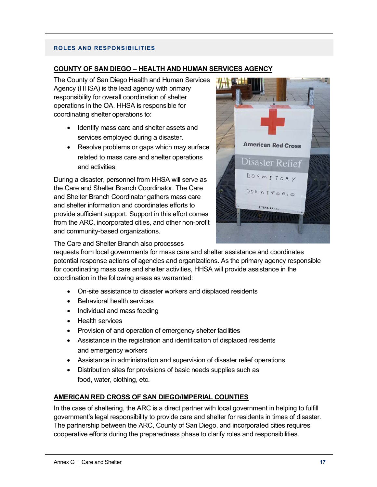#### **ROLES AND RESPONSIBILITIES**

#### **COUNTY OF SAN DIEGO – HEALTH AND HUMAN SERVICES AGENCY**

The County of San Diego Health and Human Services Agency (HHSA) is the lead agency with primary responsibility for overall coordination of shelter operations in the OA. HHSA is responsible for coordinating shelter operations to:

- Identify mass care and shelter assets and services employed during a disaster.
- Resolve problems or gaps which may surface related to mass care and shelter operations and activities.

During a disaster, personnel from HHSA will serve as the Care and Shelter Branch Coordinator. The Care and Shelter Branch Coordinator gathers mass care and shelter information and coordinates efforts to provide sufficient support. Support in this effort comes from the ARC, incorporated cities, and other non-profit and community-based organizations.



The Care and Shelter Branch also processes

requests from local governments for mass care and shelter assistance and coordinates potential response actions of agencies and organizations. As the primary agency responsible for coordinating mass care and shelter activities, HHSA will provide assistance in the coordination in the following areas as warranted:

- On-site assistance to disaster workers and displaced residents
- Behavioral health services
- Individual and mass feeding
- Health services
- Provision of and operation of emergency shelter facilities
- Assistance in the registration and identification of displaced residents and emergency workers
- Assistance in administration and supervision of disaster relief operations
- Distribution sites for provisions of basic needs supplies such as food, water, clothing, etc.

#### **AMERICAN RED CROSS OF SAN DIEGO/IMPERIAL COUNTIES**

In the case of sheltering, the ARC is a direct partner with local government in helping to fulfill government's legal responsibility to provide care and shelter for residents in times of disaster. The partnership between the ARC, County of San Diego, and incorporated cities requires cooperative efforts during the preparedness phase to clarify roles and responsibilities.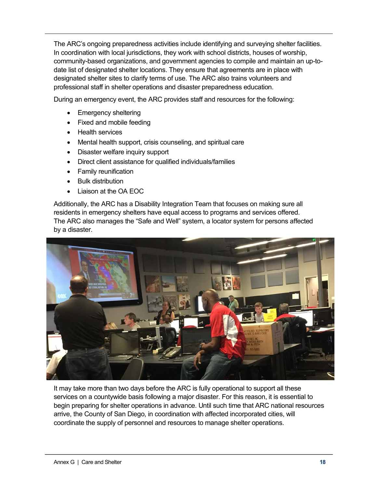The ARC's ongoing preparedness activities include identifying and surveying shelter facilities. In coordination with local jurisdictions, they work with school districts, houses of worship, community-based organizations, and government agencies to compile and maintain an up-todate list of designated shelter locations. They ensure that agreements are in place with designated shelter sites to clarify terms of use. The ARC also trains volunteers and professional staff in shelter operations and disaster preparedness education.

During an emergency event, the ARC provides staff and resources for the following:

- Emergency sheltering
- Fixed and mobile feeding
- Health services
- Mental health support, crisis counseling, and spiritual care
- Disaster welfare inquiry support
- Direct client assistance for qualified individuals/families
- Family reunification
- Bulk distribution
- Liaison at the OA EOC

Additionally, the ARC has a Disability Integration Team that focuses on making sure all residents in emergency shelters have equal access to programs and services offered. The ARC also manages the "Safe and Well" system, a locator system for persons affected by a disaster.



It may take more than two days before the ARC is fully operational to support all these services on a countywide basis following a major disaster. For this reason, it is essential to begin preparing for shelter operations in advance. Until such time that ARC national resources arrive, the County of San Diego, in coordination with affected incorporated cities, will coordinate the supply of personnel and resources to manage shelter operations.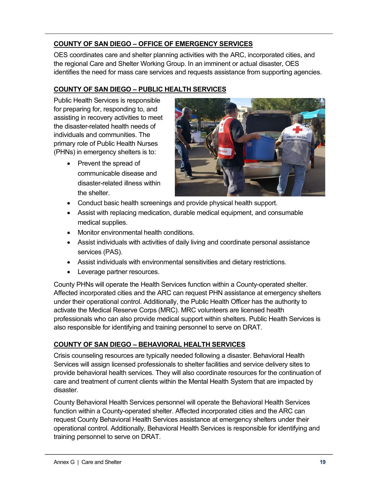# **COUNTY OF SAN DIEGO – OFFICE OF EMERGENCY SERVICES**

OES coordinates care and shelter planning activities with the ARC, incorporated cities, and the regional Care and Shelter Working Group. In an imminent or actual disaster, OES identifies the need for mass care services and requests assistance from supporting agencies.

# **COUNTY OF SAN DIEGO – PUBLIC HEALTH SERVICES**

Public Health Services is responsible for preparing for, responding to, and assisting in recovery activities to meet the disaster-related health needs of individuals and communities. The primary role of Public Health Nurses (PHNs) in emergency shelters is to:

> • Prevent the spread of communicable disease and disaster-related illness within the shelter.



- Conduct basic health screenings and provide physical health support.
- Assist with replacing medication, durable medical equipment, and consumable medical supplies.
- Monitor environmental health conditions.
- Assist individuals with activities of daily living and coordinate personal assistance services (PAS).
- Assist individuals with environmental sensitivities and dietary restrictions.
- Leverage partner resources.

County PHNs will operate the Health Services function within a County-operated shelter. Affected incorporated cities and the ARC can request PHN assistance at emergency shelters under their operational control. Additionally, the Public Health Officer has the authority to activate the Medical Reserve Corps (MRC). MRC volunteers are licensed health professionals who can also provide medical support within shelters. Public Health Services is also responsible for identifying and training personnel to serve on DRAT.

# **COUNTY OF SAN DIEGO – BEHAVIORAL HEALTH SERVICES**

Crisis counseling resources are typically needed following a disaster. Behavioral Health Services will assign licensed professionals to shelter facilities and service delivery sites to provide behavioral health services. They will also coordinate resources for the continuation of care and treatment of current clients within the Mental Health System that are impacted by disaster.

County Behavioral Health Services personnel will operate the Behavioral Health Services function within a County-operated shelter. Affected incorporated cities and the ARC can request County Behavioral Health Services assistance at emergency shelters under their operational control. Additionally, Behavioral Health Services is responsible for identifying and training personnel to serve on DRAT.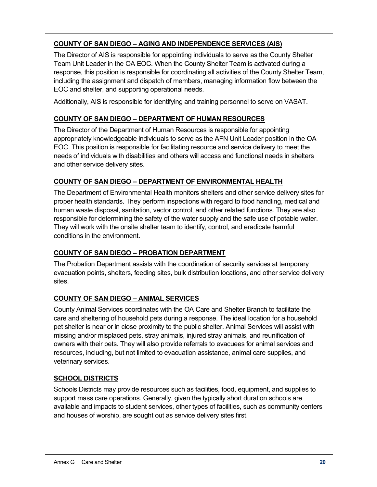# **COUNTY OF SAN DIEGO – AGING AND INDEPENDENCE SERVICES (AIS)**

The Director of AIS is responsible for appointing individuals to serve as the County Shelter Team Unit Leader in the OA EOC. When the County Shelter Team is activated during a response, this position is responsible for coordinating all activities of the County Shelter Team, including the assignment and dispatch of members, managing information flow between the EOC and shelter, and supporting operational needs.

Additionally, AIS is responsible for identifying and training personnel to serve on VASAT.

## **COUNTY OF SAN DIEGO – DEPARTMENT OF HUMAN RESOURCES**

The Director of the Department of Human Resources is responsible for appointing appropriately knowledgeable individuals to serve as the AFN Unit Leader position in the OA EOC. This position is responsible for facilitating resource and service delivery to meet the needs of individuals with disabilities and others will access and functional needs in shelters and other service delivery sites.

#### **COUNTY OF SAN DIEGO – DEPARTMENT OF ENVIRONMENTAL HEALTH**

The Department of Environmental Health monitors shelters and other service delivery sites for proper health standards. They perform inspections with regard to food handling, medical and human waste disposal, sanitation, vector control, and other related functions. They are also responsible for determining the safety of the water supply and the safe use of potable water. They will work with the onsite shelter team to identify, control, and eradicate harmful conditions in the environment.

# **COUNTY OF SAN DIEGO – PROBATION DEPARTMENT**

The Probation Department assists with the coordination of security services at temporary evacuation points, shelters, feeding sites, bulk distribution locations, and other service delivery sites.

# **COUNTY OF SAN DIEGO – ANIMAL SERVICES**

County Animal Services coordinates with the OA Care and Shelter Branch to facilitate the care and sheltering of household pets during a response. The ideal location for a household pet shelter is near or in close proximity to the public shelter. Animal Services will assist with missing and/or misplaced pets, stray animals, injured stray animals, and reunification of owners with their pets. They will also provide referrals to evacuees for animal services and resources, including, but not limited to evacuation assistance, animal care supplies, and veterinary services.

#### **SCHOOL DISTRICTS**

Schools Districts may provide resources such as facilities, food, equipment, and supplies to support mass care operations. Generally, given the typically short duration schools are available and impacts to student services, other types of facilities, such as community centers and houses of worship, are sought out as service delivery sites first.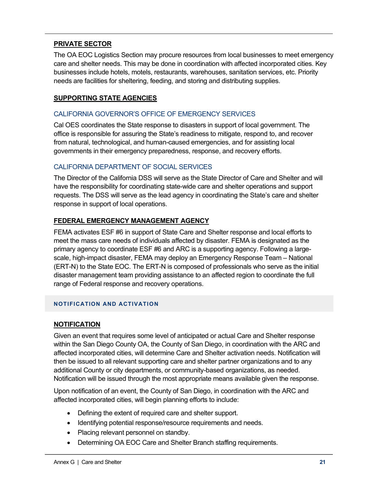# **PRIVATE SECTOR**

The OA EOC Logistics Section may procure resources from local businesses to meet emergency care and shelter needs. This may be done in coordination with affected incorporated cities. Key businesses include hotels, motels, restaurants, warehouses, sanitation services, etc. Priority needs are facilities for sheltering, feeding, and storing and distributing supplies.

## **SUPPORTING STATE AGENCIES**

### CALIFORNIA GOVERNOR'S OFFICE OF EMERGENCY SERVICES

Cal OES coordinates the State response to disasters in support of local government. The office is responsible for assuring the State's readiness to mitigate, respond to, and recover from natural, technological, and human-caused emergencies, and for assisting local governments in their emergency preparedness, response, and recovery efforts.

## CALIFORNIA DEPARTMENT OF SOCIAL SERVICES

The Director of the California DSS will serve as the State Director of Care and Shelter and will have the responsibility for coordinating state-wide care and shelter operations and support requests. The DSS will serve as the lead agency in coordinating the State's care and shelter response in support of local operations.

# **FEDERAL EMERGENCY MANAGEMENT AGENCY**

FEMA activates ESF #6 in support of State Care and Shelter response and local efforts to meet the mass care needs of individuals affected by disaster. FEMA is designated as the primary agency to coordinate ESF #6 and ARC is a supporting agency. Following a largescale, high-impact disaster, FEMA may deploy an Emergency Response Team – National (ERT-N) to the State EOC. The ERT-N is composed of professionals who serve as the initial disaster management team providing assistance to an affected region to coordinate the full range of Federal response and recovery operations.

#### **NOTIFICATION AND ACTIVATION**

#### **NOTIFICATION**

Given an event that requires some level of anticipated or actual Care and Shelter response within the San Diego County OA, the County of San Diego, in coordination with the ARC and affected incorporated cities, will determine Care and Shelter activation needs. Notification will then be issued to all relevant supporting care and shelter partner organizations and to any additional County or city departments, or community-based organizations, as needed. Notification will be issued through the most appropriate means available given the response.

Upon notification of an event, the County of San Diego, in coordination with the ARC and affected incorporated cities, will begin planning efforts to include:

- Defining the extent of required care and shelter support.
- Identifying potential response/resource requirements and needs.
- Placing relevant personnel on standby.
- Determining OA EOC Care and Shelter Branch staffing requirements.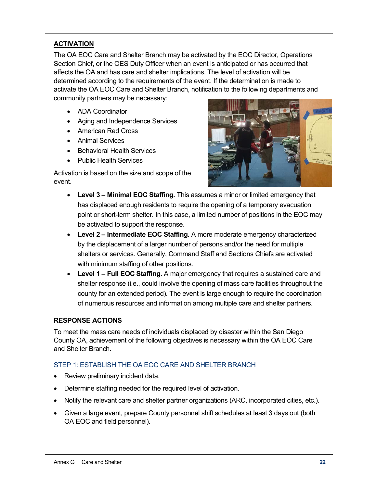# **ACTIVATION**

The OA EOC Care and Shelter Branch may be activated by the EOC Director, Operations Section Chief, or the OES Duty Officer when an event is anticipated or has occurred that affects the OA and has care and shelter implications. The level of activation will be determined according to the requirements of the event. If the determination is made to activate the OA EOC Care and Shelter Branch, notification to the following departments and community partners may be necessary:

- ADA Coordinator
- Aging and Independence Services
- American Red Cross
- Animal Services
- Behavioral Health Services
- Public Health Services

Activation is based on the size and scope of the event.



- **Level 3 – Minimal EOC Staffing.** This assumes a minor or limited emergency that has displaced enough residents to require the opening of a temporary evacuation point or short-term shelter. In this case, a limited number of positions in the EOC may be activated to support the response.
- **Level 2 – Intermediate EOC Staffing.** A more moderate emergency characterized by the displacement of a larger number of persons and/or the need for multiple shelters or services. Generally, Command Staff and Sections Chiefs are activated with minimum staffing of other positions.
- **Level 1 – Full EOC Staffing.** A major emergency that requires a sustained care and shelter response (i.e., could involve the opening of mass care facilities throughout the county for an extended period). The event is large enough to require the coordination of numerous resources and information among multiple care and shelter partners.

#### **RESPONSE ACTIONS**

To meet the mass care needs of individuals displaced by disaster within the San Diego County OA, achievement of the following objectives is necessary within the OA EOC Care and Shelter Branch.

#### STEP 1: ESTABLISH THE OA EOC CARE AND SHELTER BRANCH

- Review preliminary incident data.
- Determine staffing needed for the required level of activation.
- Notify the relevant care and shelter partner organizations (ARC, incorporated cities, etc.).
- Given a large event, prepare County personnel shift schedules at least 3 days out (both OA EOC and field personnel).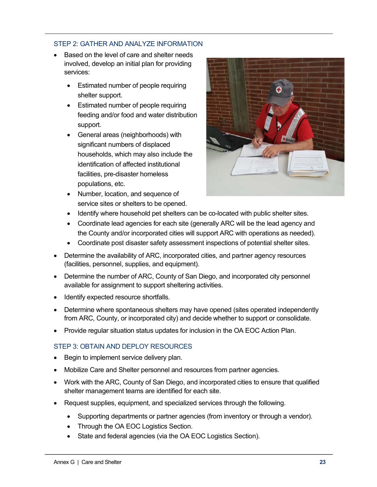## STEP 2: GATHER AND ANALYZE INFORMATION

- Based on the level of care and shelter needs involved, develop an initial plan for providing services:
	- Estimated number of people requiring shelter support.
	- Estimated number of people requiring feeding and/or food and water distribution support.
	- General areas (neighborhoods) with significant numbers of displaced households, which may also include the identification of affected institutional facilities, pre-disaster homeless populations, etc.
	- Number, location, and sequence of service sites or shelters to be opened.



- Identify where household pet shelters can be co-located with public shelter sites.
- Coordinate lead agencies for each site (generally ARC will be the lead agency and the County and/or incorporated cities will support ARC with operations as needed).
- Coordinate post disaster safety assessment inspections of potential shelter sites.
- Determine the availability of ARC, incorporated cities, and partner agency resources (facilities, personnel, supplies, and equipment).
- Determine the number of ARC, County of San Diego, and incorporated city personnel available for assignment to support sheltering activities.
- Identify expected resource shortfalls.
- Determine where spontaneous shelters may have opened (sites operated independently from ARC, County, or incorporated city) and decide whether to support or consolidate.
- Provide regular situation status updates for inclusion in the OA EOC Action Plan.

# STEP 3: OBTAIN AND DEPLOY RESOURCES

- Begin to implement service delivery plan.
- Mobilize Care and Shelter personnel and resources from partner agencies.
- Work with the ARC, County of San Diego, and incorporated cities to ensure that qualified shelter management teams are identified for each site.
- Request supplies, equipment, and specialized services through the following.
	- Supporting departments or partner agencies (from inventory or through a vendor).
	- Through the OA EOC Logistics Section.
	- State and federal agencies (via the OA EOC Logistics Section).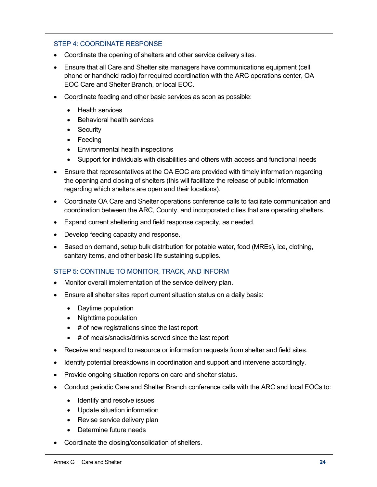#### STEP 4: COORDINATE RESPONSE

- Coordinate the opening of shelters and other service delivery sites.
- Ensure that all Care and Shelter site managers have communications equipment (cell phone or handheld radio) for required coordination with the ARC operations center, OA EOC Care and Shelter Branch, or local EOC.
- Coordinate feeding and other basic services as soon as possible:
	- Health services
	- Behavioral health services
	- Security
	- Feeding
	- Environmental health inspections
	- Support for individuals with disabilities and others with access and functional needs
- Ensure that representatives at the OA EOC are provided with timely information regarding the opening and closing of shelters (this will facilitate the release of public information regarding which shelters are open and their locations).
- Coordinate OA Care and Shelter operations conference calls to facilitate communication and coordination between the ARC, County, and incorporated cities that are operating shelters.
- Expand current sheltering and field response capacity, as needed.
- Develop feeding capacity and response.
- Based on demand, setup bulk distribution for potable water, food (MREs), ice, clothing, sanitary items, and other basic life sustaining supplies.

#### STEP 5: CONTINUE TO MONITOR, TRACK, AND INFORM

- Monitor overall implementation of the service delivery plan.
- Ensure all shelter sites report current situation status on a daily basis:
	- Daytime population
	- Nighttime population
	- # of new registrations since the last report
	- # of meals/snacks/drinks served since the last report
- Receive and respond to resource or information requests from shelter and field sites.
- Identify potential breakdowns in coordination and support and intervene accordingly.
- Provide ongoing situation reports on care and shelter status.
- Conduct periodic Care and Shelter Branch conference calls with the ARC and local EOCs to:
	- Identify and resolve issues
	- Update situation information
	- Revise service delivery plan
	- Determine future needs
- Coordinate the closing/consolidation of shelters.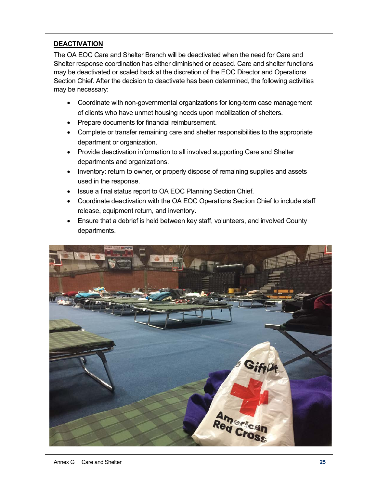# **DEACTIVATION**

The OA EOC Care and Shelter Branch will be deactivated when the need for Care and Shelter response coordination has either diminished or ceased. Care and shelter functions may be deactivated or scaled back at the discretion of the EOC Director and Operations Section Chief. After the decision to deactivate has been determined, the following activities may be necessary:

- Coordinate with non-governmental organizations for long-term case management of clients who have unmet housing needs upon mobilization of shelters.
- Prepare documents for financial reimbursement.
- Complete or transfer remaining care and shelter responsibilities to the appropriate department or organization.
- Provide deactivation information to all involved supporting Care and Shelter departments and organizations.
- Inventory: return to owner, or properly dispose of remaining supplies and assets used in the response.
- Issue a final status report to OA EOC Planning Section Chief.
- Coordinate deactivation with the OA EOC Operations Section Chief to include staff release, equipment return, and inventory.
- Ensure that a debrief is held between key staff, volunteers, and involved County departments.

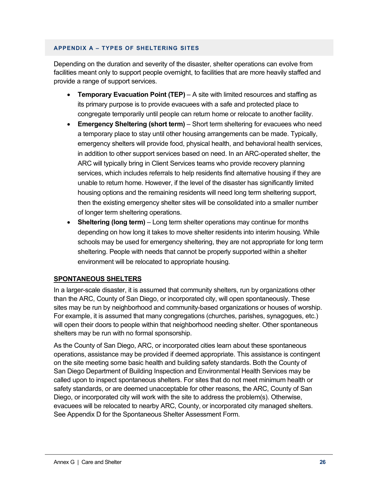#### **APPENDIX A – TYPES OF SHELTERING SITES**

Depending on the duration and severity of the disaster, shelter operations can evolve from facilities meant only to support people overnight, to facilities that are more heavily staffed and provide a range of support services.

- **Temporary Evacuation Point (TEP)** A site with limited resources and staffing as its primary purpose is to provide evacuees with a safe and protected place to congregate temporarily until people can return home or relocate to another facility.
- **Emergency Sheltering (short term)** Short term sheltering for evacuees who need a temporary place to stay until other housing arrangements can be made. Typically, emergency shelters will provide food, physical health, and behavioral health services, in addition to other support services based on need. In an ARC-operated shelter, the ARC will typically bring in Client Services teams who provide recovery planning services, which includes referrals to help residents find alternative housing if they are unable to return home. However, if the level of the disaster has significantly limited housing options and the remaining residents will need long term sheltering support, then the existing emergency shelter sites will be consolidated into a smaller number of longer term sheltering operations.
- **Sheltering (long term)** Long term shelter operations may continue for months depending on how long it takes to move shelter residents into interim housing. While schools may be used for emergency sheltering, they are not appropriate for long term sheltering. People with needs that cannot be properly supported within a shelter environment will be relocated to appropriate housing.

# **SPONTANEOUS SHELTERS**

In a larger-scale disaster, it is assumed that community shelters, run by organizations other than the ARC, County of San Diego, or incorporated city, will open spontaneously. These sites may be run by neighborhood and community-based organizations or houses of worship. For example, it is assumed that many congregations (churches, parishes, synagogues, etc.) will open their doors to people within that neighborhood needing shelter. Other spontaneous shelters may be run with no formal sponsorship.

As the County of San Diego, ARC, or incorporated cities learn about these spontaneous operations, assistance may be provided if deemed appropriate. This assistance is contingent on the site meeting some basic health and building safety standards. Both the County of San Diego Department of Building Inspection and Environmental Health Services may be called upon to inspect spontaneous shelters. For sites that do not meet minimum health or safety standards, or are deemed unacceptable for other reasons, the ARC, County of San Diego, or incorporated city will work with the site to address the problem(s). Otherwise, evacuees will be relocated to nearby ARC, County, or incorporated city managed shelters. See Appendix D for the Spontaneous Shelter Assessment Form.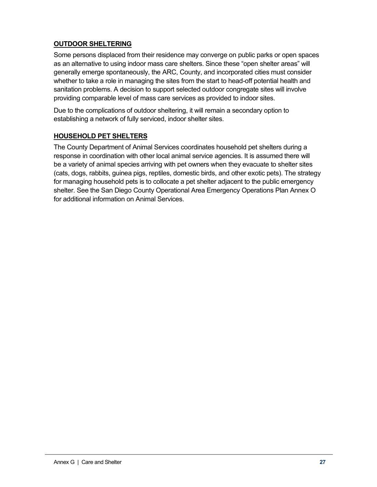# **OUTDOOR SHELTERING**

Some persons displaced from their residence may converge on public parks or open spaces as an alternative to using indoor mass care shelters. Since these "open shelter areas" will generally emerge spontaneously, the ARC, County, and incorporated cities must consider whether to take a role in managing the sites from the start to head-off potential health and sanitation problems. A decision to support selected outdoor congregate sites will involve providing comparable level of mass care services as provided to indoor sites.

Due to the complications of outdoor sheltering, it will remain a secondary option to establishing a network of fully serviced, indoor shelter sites.

# **HOUSEHOLD PET SHELTERS**

The County Department of Animal Services coordinates household pet shelters during a response in coordination with other local animal service agencies. It is assumed there will be a variety of animal species arriving with pet owners when they evacuate to shelter sites (cats, dogs, rabbits, guinea pigs, reptiles, domestic birds, and other exotic pets). The strategy for managing household pets is to collocate a pet shelter adjacent to the public emergency shelter. See the San Diego County Operational Area Emergency Operations Plan Annex O for additional information on Animal Services.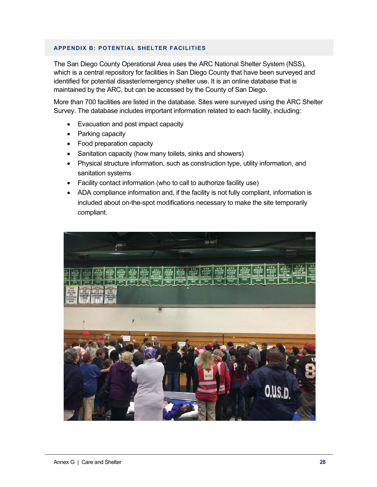#### **APPENDIX B: POTENTIAL SHELTER FACILITIES**

The San Diego County Operational Area uses the ARC National Shelter System (NSS), which is a central repository for facilities in San Diego County that have been surveyed and identified for potential disaster/emergency shelter use. It is an online database that is maintained by the ARC, but can be accessed by the County of San Diego.

More than 700 facilities are listed in the database. Sites were surveyed using the ARC Shelter Survey. The database includes important information related to each facility, including:

- Evacuation and post impact capacity
- Parking capacity
- Food preparation capacity
- Sanitation capacity (how many toilets, sinks and showers)
- Physical structure information, such as construction type, utility information, and sanitation systems
- Facility contact information (who to call to authorize facility use)
- ADA compliance information and, if the facility is not fully compliant, information is included about on-the-spot modifications necessary to make the site temporarily compliant.

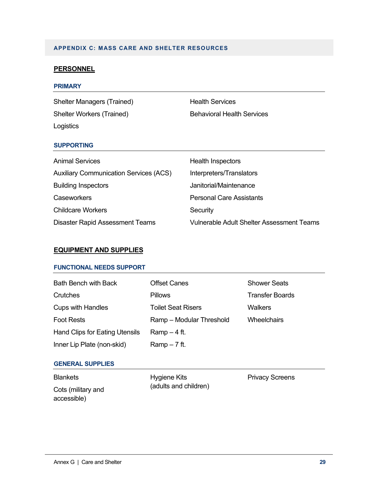## **APPENDIX C: MASS CARE AND SHELTER RESOURCES**

#### **PERSONNEL**

#### **PRIMARY**

Shelter Managers (Trained) Health Services Shelter Workers (Trained) Behavioral Health Services Logistics

#### **SUPPORTING**

| <b>Animal Services</b>                        | Health Inspectors                         |
|-----------------------------------------------|-------------------------------------------|
| <b>Auxiliary Communication Services (ACS)</b> | Interpreters/Translators                  |
| <b>Building Inspectors</b>                    | Janitorial/Maintenance                    |
| Caseworkers                                   | <b>Personal Care Assistants</b>           |
| <b>Childcare Workers</b>                      | Security                                  |
| <b>Disaster Rapid Assessment Teams</b>        | Vulnerable Adult Shelter Assessment Teams |

#### **EQUIPMENT AND SUPPLIES**

#### **FUNCTIONAL NEEDS SUPPORT**

| <b>Bath Bench with Back</b>           | <b>Offset Canes</b>       | <b>Shower Seats</b>    |
|---------------------------------------|---------------------------|------------------------|
| Crutches                              | <b>Pillows</b>            | <b>Transfer Boards</b> |
| <b>Cups with Handles</b>              | <b>Toilet Seat Risers</b> | Walkers                |
| <b>Foot Rests</b>                     | Ramp - Modular Threshold  | <b>Wheelchairs</b>     |
| <b>Hand Clips for Eating Utensils</b> | $Ramp-4$ ft.              |                        |
| Inner Lip Plate (non-skid)            | $Ramp - 7$ ft.            |                        |

#### **GENERAL SUPPLIES**

Blankets Cots (military and accessible)

Hygiene Kits (adults and children)

Privacy Screens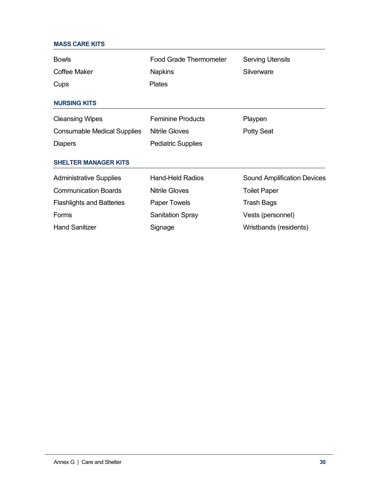| <b>MASS CARE KITS</b>              |                               |                                    |  |  |
|------------------------------------|-------------------------------|------------------------------------|--|--|
| <b>Bowls</b>                       | <b>Food Grade Thermometer</b> | <b>Serving Utensils</b>            |  |  |
| Coffee Maker                       | <b>Napkins</b>                | Silverware                         |  |  |
| Cups                               | <b>Plates</b>                 |                                    |  |  |
| <b>NURSING KITS</b>                |                               |                                    |  |  |
| <b>Cleansing Wipes</b>             | <b>Feminine Products</b>      | Playpen                            |  |  |
| <b>Consumable Medical Supplies</b> | <b>Nitrile Gloves</b>         | <b>Potty Seat</b>                  |  |  |
| <b>Diapers</b>                     | <b>Pediatric Supplies</b>     |                                    |  |  |
| <b>SHELTER MANAGER KITS</b>        |                               |                                    |  |  |
| <b>Administrative Supplies</b>     | <b>Hand-Held Radios</b>       | <b>Sound Amplification Devices</b> |  |  |
| <b>Communication Boards</b>        | <b>Nitrile Gloves</b>         | <b>Toilet Paper</b>                |  |  |
| <b>Flashlights and Batteries</b>   | Paper Towels                  | <b>Trash Bags</b>                  |  |  |
| Forms                              | <b>Sanitation Spray</b>       | Vests (personnel)                  |  |  |
| <b>Hand Sanitizer</b>              | Signage                       | Wristbands (residents)             |  |  |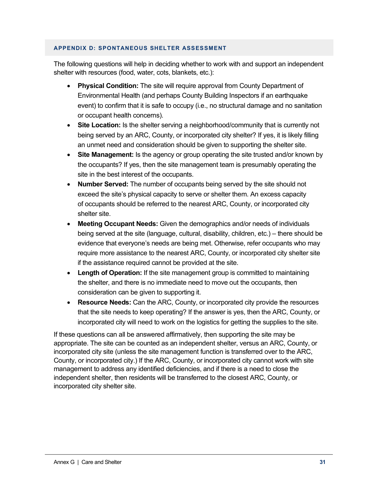#### **APPENDIX D: SPONTANEOUS SHELTER ASSESSMENT**

The following questions will help in deciding whether to work with and support an independent shelter with resources (food, water, cots, blankets, etc.):

- **Physical Condition:** The site will require approval from County Department of Environmental Health (and perhaps County Building Inspectors if an earthquake event) to confirm that it is safe to occupy (i.e., no structural damage and no sanitation or occupant health concerns).
- **Site Location:** Is the shelter serving a neighborhood/community that is currently not being served by an ARC, County, or incorporated city shelter? If yes, it is likely filling an unmet need and consideration should be given to supporting the shelter site.
- **Site Management:** Is the agency or group operating the site trusted and/or known by the occupants? If yes, then the site management team is presumably operating the site in the best interest of the occupants.
- **Number Served:** The number of occupants being served by the site should not exceed the site's physical capacity to serve or shelter them. An excess capacity of occupants should be referred to the nearest ARC, County, or incorporated city shelter site.
- **Meeting Occupant Needs:** Given the demographics and/or needs of individuals being served at the site (language, cultural, disability, children, etc.) – there should be evidence that everyone's needs are being met. Otherwise, refer occupants who may require more assistance to the nearest ARC, County, or incorporated city shelter site if the assistance required cannot be provided at the site.
- **Length of Operation:** If the site management group is committed to maintaining the shelter, and there is no immediate need to move out the occupants, then consideration can be given to supporting it.
- **Resource Needs:** Can the ARC, County, or incorporated city provide the resources that the site needs to keep operating? If the answer is yes, then the ARC, County, or incorporated city will need to work on the logistics for getting the supplies to the site.

If these questions can all be answered affirmatively, then supporting the site may be appropriate. The site can be counted as an independent shelter, versus an ARC, County, or incorporated city site (unless the site management function is transferred over to the ARC, County, or incorporated city.) If the ARC, County, or incorporated city cannot work with site management to address any identified deficiencies, and if there is a need to close the independent shelter, then residents will be transferred to the closest ARC, County, or incorporated city shelter site.